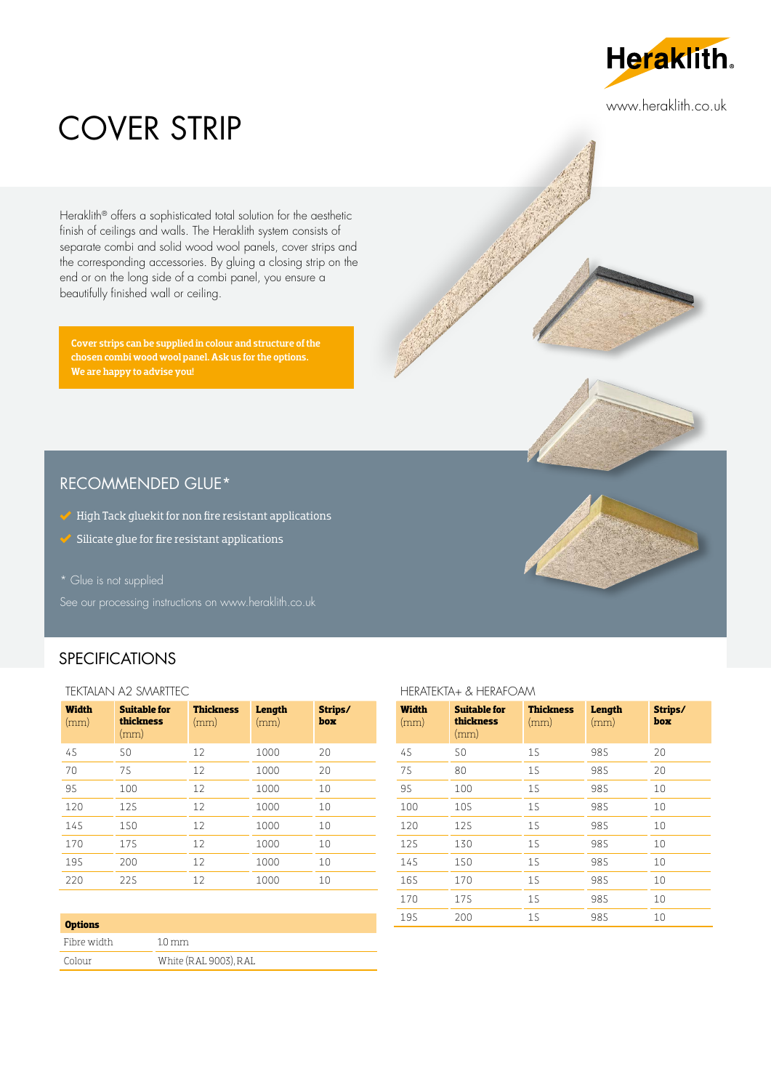

### www.heraklith.co.uk

# COVER STRIP

Heraklith® offers a sophisticated total solution for the aesthetic finish of ceilings and walls. The Heraklith system consists of separate combi and solid wood wool panels, cover strips and the corresponding accessories. By gluing a closing strip on the end or on the long side of a combi panel, you ensure a beautifully finished wall or ceiling.

Cover strips can be supplied in colour and structure of the chosen combi wood wool panel. Ask us for the options. We are happy to advise you!



## RECOMMENDED GLUE\*

- $\blacktriangleright$  High Tack gluekit for non fire resistant applications
- $\mathscr S$  Silicate glue for fire resistant applications
- \* Glue is not supplied

## **SPECIFICATIONS**

#### TEKTALAN A2 SMARTTEC

| <b>Width</b><br>(mm) | <b>Suitable for</b><br>thickness<br>(mm) | <b>Thickness</b><br>(mm) | Length<br>(mm) | Strips/<br>box |
|----------------------|------------------------------------------|--------------------------|----------------|----------------|
| 45                   | 50                                       | 12                       | 1000           | 20             |
| 70                   | 75                                       | 12                       | 1000           | 20             |
| 95                   | 100                                      | 12                       | 1000           | 10             |
| 120                  | 125                                      | 12                       | 1000           | 10             |
| 145                  | 150                                      | 12                       | 1000           | 10             |
| 170                  | 175                                      | 12                       | 1000           | 10             |
| 195                  | 200                                      | 12                       | 1000           | 10             |
| 220                  | 225                                      | 12                       | 1000           | 10             |

| <b>Options</b> |                       |
|----------------|-----------------------|
| Fibre width    | $1.0 \,\mathrm{mm}$   |
| Colour         | White (RAL 9003), RAL |

#### HERATEKTA+ & HERAFOAM

| <b>Width</b><br>(mm) | <b>Suitable for</b><br>thickness<br>(mm) | <b>Thickness</b><br>(mm) | Length<br>(mm) | Strips/<br>box |  |  |  |
|----------------------|------------------------------------------|--------------------------|----------------|----------------|--|--|--|
| 45                   | 50                                       | 15                       | 985            | 20             |  |  |  |
| 75                   | 80                                       | 15                       | 985            | 20             |  |  |  |
| 95                   | 100                                      | 15                       | 985            | 10             |  |  |  |
| 100                  | 105                                      | 15                       | 985            | 10             |  |  |  |
| 120                  | 125                                      | 15                       | 985            | 10             |  |  |  |
| 125                  | 130                                      | 15                       | 985            | 10             |  |  |  |
| 145                  | 150                                      | 15                       | 985            | 10             |  |  |  |
| 165                  | 170                                      | 15                       | 985            | 10             |  |  |  |
| 170                  | 175                                      | 15                       | 985            | 10             |  |  |  |
| 195                  | 200                                      | 15                       | 985            | 10             |  |  |  |